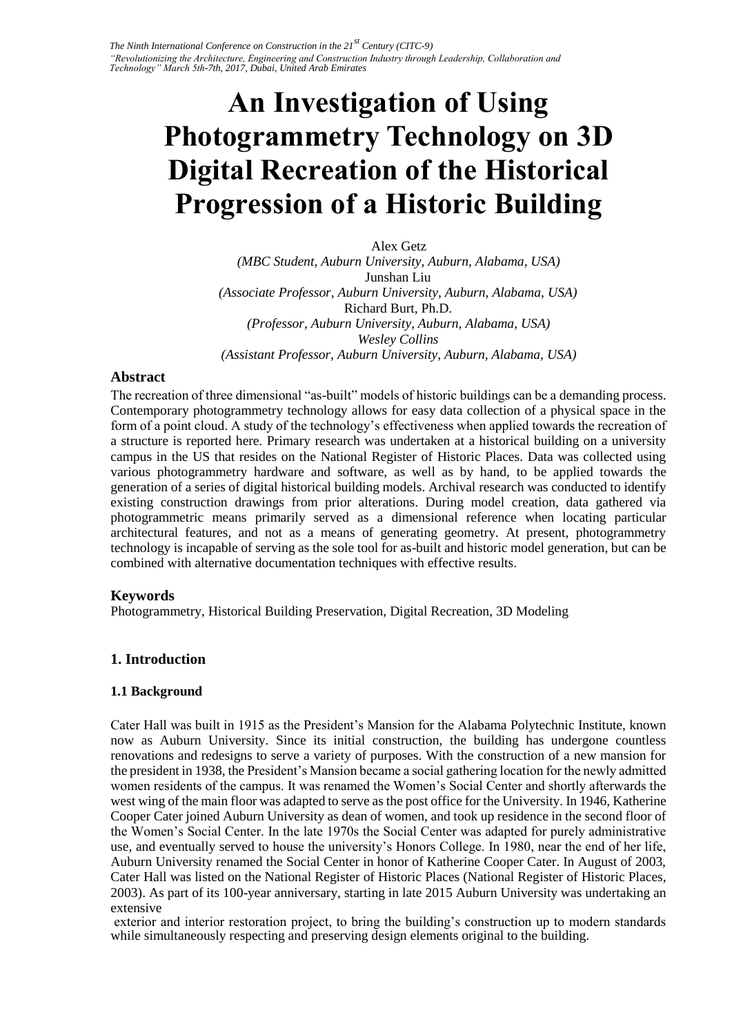# **An Investigation of Using Photogrammetry Technology on 3D Digital Recreation of the Historical Progression of a Historic Building**

Alex Getz *(MBC Student, Auburn University, Auburn, Alabama, USA)*  Junshan Liu *(Associate Professor, Auburn University, Auburn, Alabama, USA)*  Richard Burt, Ph.D. *(Professor, Auburn University, Auburn, Alabama, USA) Wesley Collins (Assistant Professor, Auburn University, Auburn, Alabama, USA)* 

#### **Abstract**

The recreation of three dimensional "as-built" models of historic buildings can be a demanding process. Contemporary photogrammetry technology allows for easy data collection of a physical space in the form of a point cloud. A study of the technology's effectiveness when applied towards the recreation of a structure is reported here. Primary research was undertaken at a historical building on a university campus in the US that resides on the National Register of Historic Places. Data was collected using various photogrammetry hardware and software, as well as by hand, to be applied towards the generation of a series of digital historical building models. Archival research was conducted to identify existing construction drawings from prior alterations. During model creation, data gathered via photogrammetric means primarily served as a dimensional reference when locating particular architectural features, and not as a means of generating geometry. At present, photogrammetry technology is incapable of serving as the sole tool for as-built and historic model generation, but can be combined with alternative documentation techniques with effective results.

#### **Keywords**

Photogrammetry, Historical Building Preservation, Digital Recreation, 3D Modeling

## **1. Introduction**

#### **1.1 Background**

Cater Hall was built in 1915 as the President's Mansion for the Alabama Polytechnic Institute, known now as Auburn University. Since its initial construction, the building has undergone countless renovations and redesigns to serve a variety of purposes. With the construction of a new mansion for the president in 1938, the President's Mansion became a social gathering location for the newly admitted women residents of the campus. It was renamed the Women's Social Center and shortly afterwards the west wing of the main floor was adapted to serve as the post office for the University. In 1946, Katherine Cooper Cater joined Auburn University as dean of women, and took up residence in the second floor of the Women's Social Center. In the late 1970s the Social Center was adapted for purely administrative use, and eventually served to house the university's Honors College. In 1980, near the end of her life, Auburn University renamed the Social Center in honor of Katherine Cooper Cater. In August of 2003, Cater Hall was listed on the National Register of Historic Places (National Register of Historic Places, 2003). As part of its 100-year anniversary, starting in late 2015 Auburn University was undertaking an extensive

exterior and interior restoration project, to bring the building's construction up to modern standards while simultaneously respecting and preserving design elements original to the building.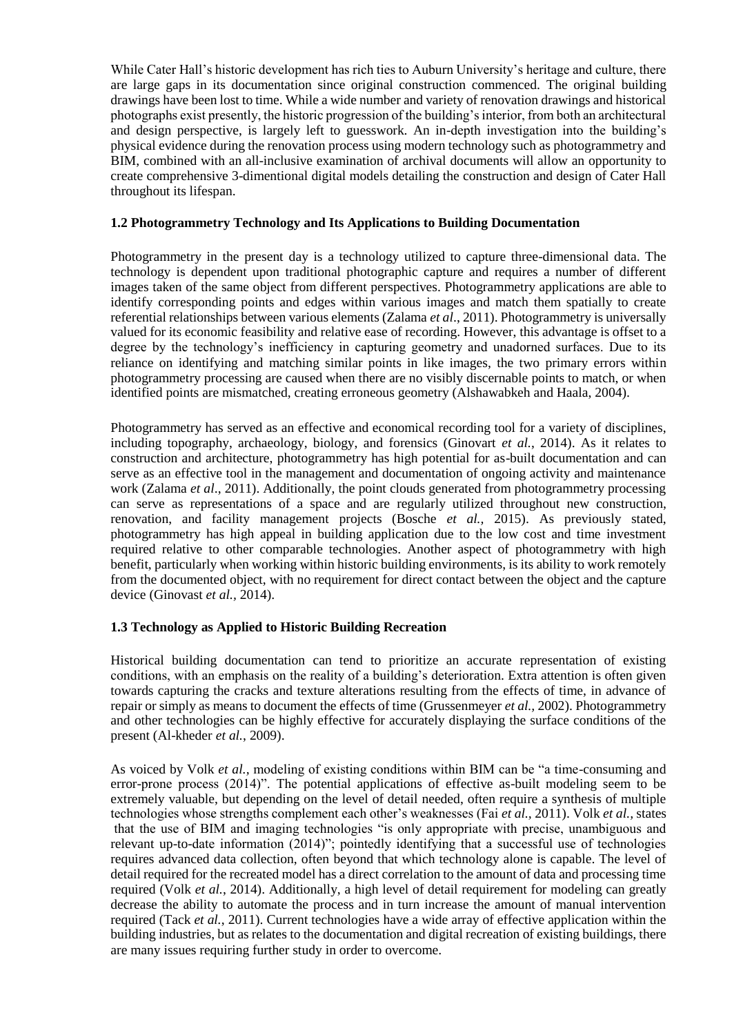While Cater Hall's historic development has rich ties to Auburn University's heritage and culture, there are large gaps in its documentation since original construction commenced. The original building drawings have been lost to time. While a wide number and variety of renovation drawings and historical photographs exist presently, the historic progression of the building's interior, from both an architectural and design perspective, is largely left to guesswork. An in-depth investigation into the building's physical evidence during the renovation process using modern technology such as photogrammetry and BIM, combined with an all-inclusive examination of archival documents will allow an opportunity to create comprehensive 3-dimentional digital models detailing the construction and design of Cater Hall throughout its lifespan.

#### **1.2 Photogrammetry Technology and Its Applications to Building Documentation**

Photogrammetry in the present day is a technology utilized to capture three-dimensional data. The technology is dependent upon traditional photographic capture and requires a number of different images taken of the same object from different perspectives. Photogrammetry applications are able to identify corresponding points and edges within various images and match them spatially to create referential relationships between various elements (Zalama *et al*., 2011). Photogrammetry is universally valued for its economic feasibility and relative ease of recording. However, this advantage is offset to a degree by the technology's inefficiency in capturing geometry and unadorned surfaces. Due to its reliance on identifying and matching similar points in like images, the two primary errors within photogrammetry processing are caused when there are no visibly discernable points to match, or when identified points are mismatched, creating erroneous geometry (Alshawabkeh and Haala, 2004).

Photogrammetry has served as an effective and economical recording tool for a variety of disciplines, including topography, archaeology, biology, and forensics (Ginovart *et al.*, 2014). As it relates to construction and architecture, photogrammetry has high potential for as-built documentation and can serve as an effective tool in the management and documentation of ongoing activity and maintenance work (Zalama *et al*., 2011). Additionally, the point clouds generated from photogrammetry processing can serve as representations of a space and are regularly utilized throughout new construction, renovation, and facility management projects (Bosche *et al.,* 2015). As previously stated, photogrammetry has high appeal in building application due to the low cost and time investment required relative to other comparable technologies. Another aspect of photogrammetry with high benefit, particularly when working within historic building environments, is its ability to work remotely from the documented object, with no requirement for direct contact between the object and the capture device (Ginovast *et al.,* 2014).

#### **1.3 Technology as Applied to Historic Building Recreation**

Historical building documentation can tend to prioritize an accurate representation of existing conditions, with an emphasis on the reality of a building's deterioration. Extra attention is often given towards capturing the cracks and texture alterations resulting from the effects of time, in advance of repair or simply as means to document the effects of time (Grussenmeyer *et al.,* 2002). Photogrammetry and other technologies can be highly effective for accurately displaying the surface conditions of the present (Al-kheder *et al.*, 2009).

As voiced by Volk *et al.,* modeling of existing conditions within BIM can be "a time-consuming and error-prone process (2014)". The potential applications of effective as-built modeling seem to be extremely valuable, but depending on the level of detail needed, often require a synthesis of multiple technologies whose strengths complement each other's weaknesses (Fai *et al.,* 2011). Volk *et al.,* states that the use of BIM and imaging technologies "is only appropriate with precise, unambiguous and relevant up-to-date information (2014)"; pointedly identifying that a successful use of technologies requires advanced data collection, often beyond that which technology alone is capable. The level of detail required for the recreated model has a direct correlation to the amount of data and processing time required (Volk *et al.*, 2014). Additionally, a high level of detail requirement for modeling can greatly decrease the ability to automate the process and in turn increase the amount of manual intervention required (Tack *et al.*, 2011). Current technologies have a wide array of effective application within the building industries, but as relates to the documentation and digital recreation of existing buildings, there are many issues requiring further study in order to overcome.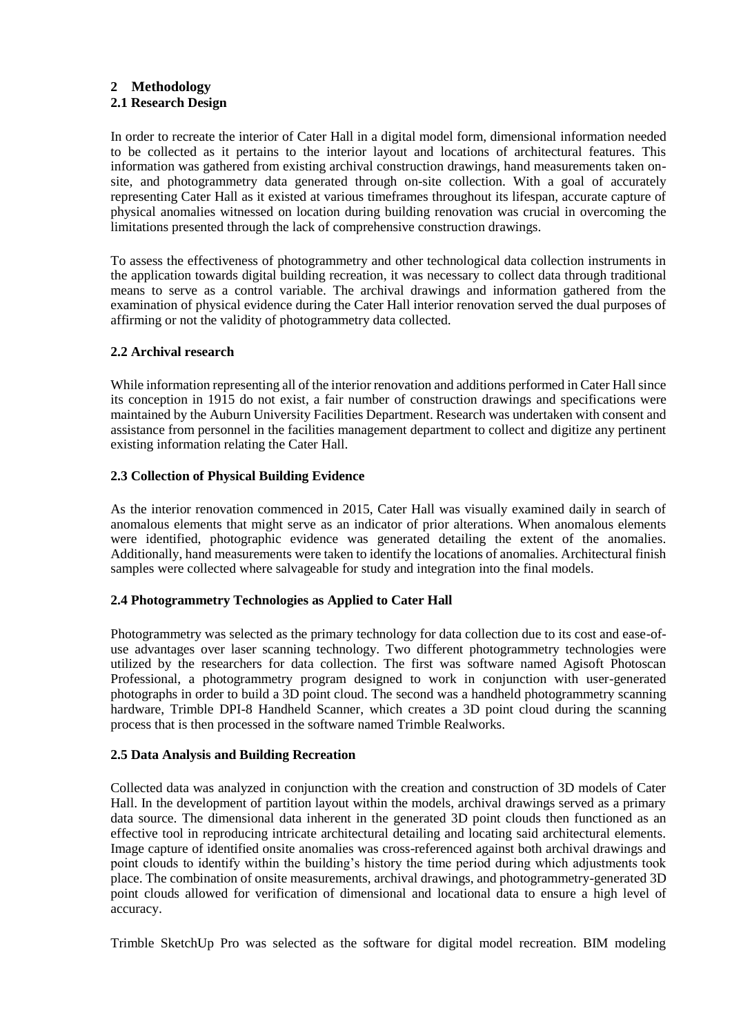## **2 Methodology**

## **2.1 Research Design**

In order to recreate the interior of Cater Hall in a digital model form, dimensional information needed to be collected as it pertains to the interior layout and locations of architectural features. This information was gathered from existing archival construction drawings, hand measurements taken onsite, and photogrammetry data generated through on-site collection. With a goal of accurately representing Cater Hall as it existed at various timeframes throughout its lifespan, accurate capture of physical anomalies witnessed on location during building renovation was crucial in overcoming the limitations presented through the lack of comprehensive construction drawings.

To assess the effectiveness of photogrammetry and other technological data collection instruments in the application towards digital building recreation, it was necessary to collect data through traditional means to serve as a control variable. The archival drawings and information gathered from the examination of physical evidence during the Cater Hall interior renovation served the dual purposes of affirming or not the validity of photogrammetry data collected.

### **2.2 Archival research**

While information representing all of the interior renovation and additions performed in Cater Hall since its conception in 1915 do not exist, a fair number of construction drawings and specifications were maintained by the Auburn University Facilities Department. Research was undertaken with consent and assistance from personnel in the facilities management department to collect and digitize any pertinent existing information relating the Cater Hall.

### **2.3 Collection of Physical Building Evidence**

As the interior renovation commenced in 2015, Cater Hall was visually examined daily in search of anomalous elements that might serve as an indicator of prior alterations. When anomalous elements were identified, photographic evidence was generated detailing the extent of the anomalies. Additionally, hand measurements were taken to identify the locations of anomalies. Architectural finish samples were collected where salvageable for study and integration into the final models.

#### **2.4 Photogrammetry Technologies as Applied to Cater Hall**

Photogrammetry was selected as the primary technology for data collection due to its cost and ease-ofuse advantages over laser scanning technology. Two different photogrammetry technologies were utilized by the researchers for data collection. The first was software named Agisoft Photoscan Professional, a photogrammetry program designed to work in conjunction with user-generated photographs in order to build a 3D point cloud. The second was a handheld photogrammetry scanning hardware, Trimble DPI-8 Handheld Scanner, which creates a 3D point cloud during the scanning process that is then processed in the software named Trimble Realworks.

#### **2.5 Data Analysis and Building Recreation**

Collected data was analyzed in conjunction with the creation and construction of 3D models of Cater Hall. In the development of partition layout within the models, archival drawings served as a primary data source. The dimensional data inherent in the generated 3D point clouds then functioned as an effective tool in reproducing intricate architectural detailing and locating said architectural elements. Image capture of identified onsite anomalies was cross-referenced against both archival drawings and point clouds to identify within the building's history the time period during which adjustments took place. The combination of onsite measurements, archival drawings, and photogrammetry-generated 3D point clouds allowed for verification of dimensional and locational data to ensure a high level of accuracy.

Trimble SketchUp Pro was selected as the software for digital model recreation. BIM modeling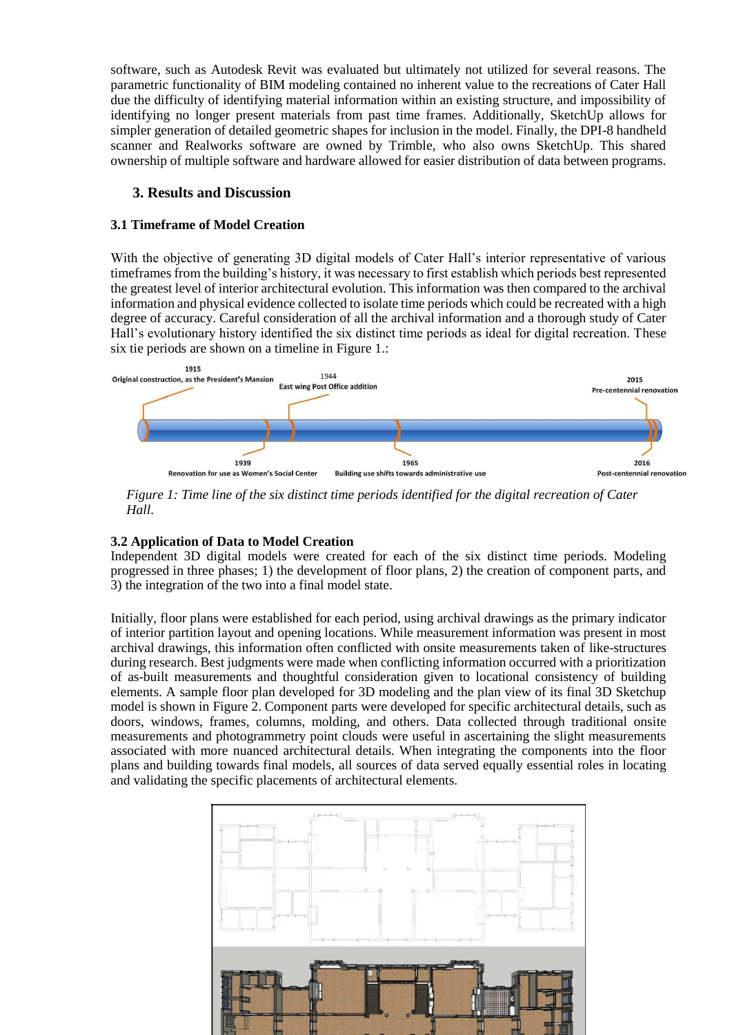software, such as Autodesk Revit was evaluated but ultimately not utilized for several reasons. The parametric functionality of BIM modeling contained no inherent value to the recreations of Cater Hall due the difficulty of identifying material information within an existing structure, and impossibility of identifying no longer present materials from past time frames. Additionally, SketchUp allows for simpler generation of detailed geometric shapes for inclusion in the model. Finally, the DPI-8 handheld scanner and Realworks software are owned by Trimble, who also owns SketchUp. This shared ownership of multiple software and hardware allowed for easier distribution of data between programs.

#### **3. Results and Discussion**

#### **3.1 Timeframe of Model Creation**

With the objective of generating 3D digital models of Cater Hall's interior representative of various timeframes from the building's history, it was necessary to first establish which periods best represented the greatest level of interior architectural evolution. This information was then compared to the archival information and physical evidence collected to isolate time periods which could be recreated with a high degree of accuracy. Careful consideration of all the archival information and a thorough study of Cater Hall's evolutionary history identified the six distinct time periods as ideal for digital recreation. These six tie periods are shown on a timeline in Figure 1.:



*Figure 1: Time line of the six distinct time periods identified for the digital recreation of Cater Hall.*

#### **3.2 Application of Data to Model Creation**

Independent 3D digital models were created for each of the six distinct time periods. Modeling progressed in three phases; 1) the development of floor plans, 2) the creation of component parts, and 3) the integration of the two into a final model state.

Initially, floor plans were established for each period, using archival drawings as the primary indicator of interior partition layout and opening locations. While measurement information was present in most archival drawings, this information often conflicted with onsite measurements taken of like-structures during research. Best judgments were made when conflicting information occurred with a prioritization of as-built measurements and thoughtful consideration given to locational consistency of building elements. A sample floor plan developed for 3D modeling and the plan view of its final 3D Sketchup model is shown in Figure 2. Component parts were developed for specific architectural details, such as doors, windows, frames, columns, molding, and others. Data collected through traditional onsite measurements and photogrammetry point clouds were useful in ascertaining the slight measurements associated with more nuanced architectural details. When integrating the components into the floor plans and building towards final models, all sources of data served equally essential roles in locating and validating the specific placements of architectural elements.

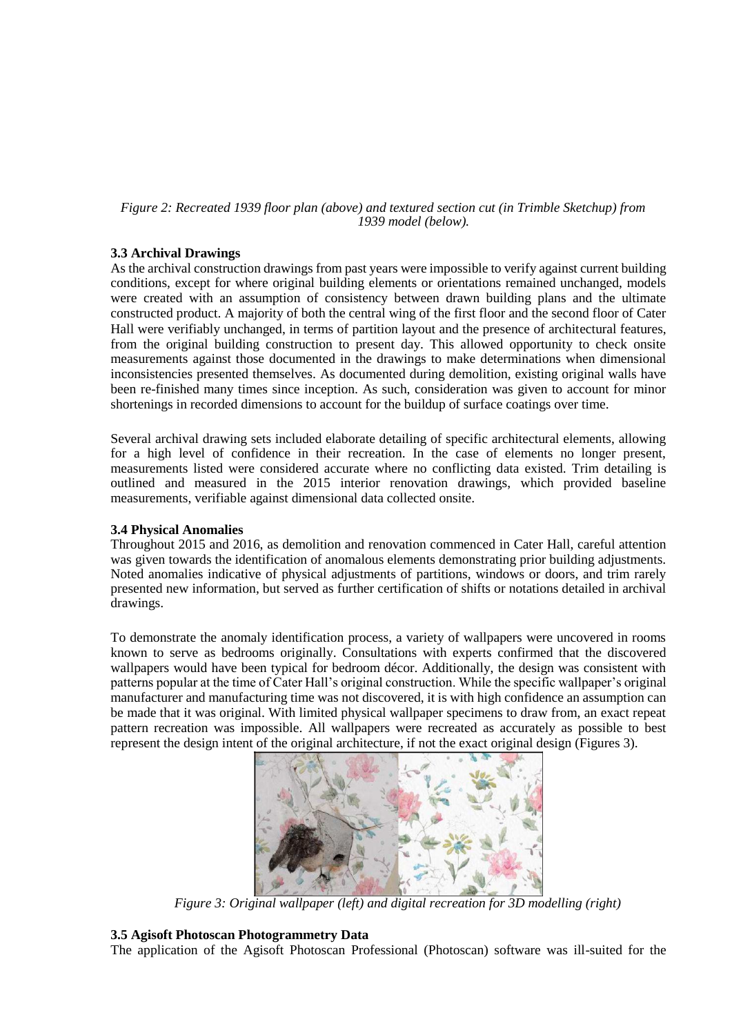#### *Figure 2: Recreated 1939 floor plan (above) and textured section cut (in Trimble Sketchup) from 1939 model (below).*

#### **3.3 Archival Drawings**

As the archival construction drawings from past years were impossible to verify against current building conditions, except for where original building elements or orientations remained unchanged, models were created with an assumption of consistency between drawn building plans and the ultimate constructed product. A majority of both the central wing of the first floor and the second floor of Cater Hall were verifiably unchanged, in terms of partition layout and the presence of architectural features, from the original building construction to present day. This allowed opportunity to check onsite measurements against those documented in the drawings to make determinations when dimensional inconsistencies presented themselves. As documented during demolition, existing original walls have been re-finished many times since inception. As such, consideration was given to account for minor shortenings in recorded dimensions to account for the buildup of surface coatings over time.

Several archival drawing sets included elaborate detailing of specific architectural elements, allowing for a high level of confidence in their recreation. In the case of elements no longer present, measurements listed were considered accurate where no conflicting data existed. Trim detailing is outlined and measured in the 2015 interior renovation drawings, which provided baseline measurements, verifiable against dimensional data collected onsite.

#### **3.4 Physical Anomalies**

Throughout 2015 and 2016, as demolition and renovation commenced in Cater Hall, careful attention was given towards the identification of anomalous elements demonstrating prior building adjustments. Noted anomalies indicative of physical adjustments of partitions, windows or doors, and trim rarely presented new information, but served as further certification of shifts or notations detailed in archival drawings.

To demonstrate the anomaly identification process, a variety of wallpapers were uncovered in rooms known to serve as bedrooms originally. Consultations with experts confirmed that the discovered wallpapers would have been typical for bedroom décor. Additionally, the design was consistent with patterns popular at the time of Cater Hall's original construction. While the specific wallpaper's original manufacturer and manufacturing time was not discovered, it is with high confidence an assumption can be made that it was original. With limited physical wallpaper specimens to draw from, an exact repeat pattern recreation was impossible. All wallpapers were recreated as accurately as possible to best represent the design intent of the original architecture, if not the exact original design (Figures 3).



*Figure 3: Original wallpaper (left) and digital recreation for 3D modelling (right)*

#### **3.5 Agisoft Photoscan Photogrammetry Data**

The application of the Agisoft Photoscan Professional (Photoscan) software was ill-suited for the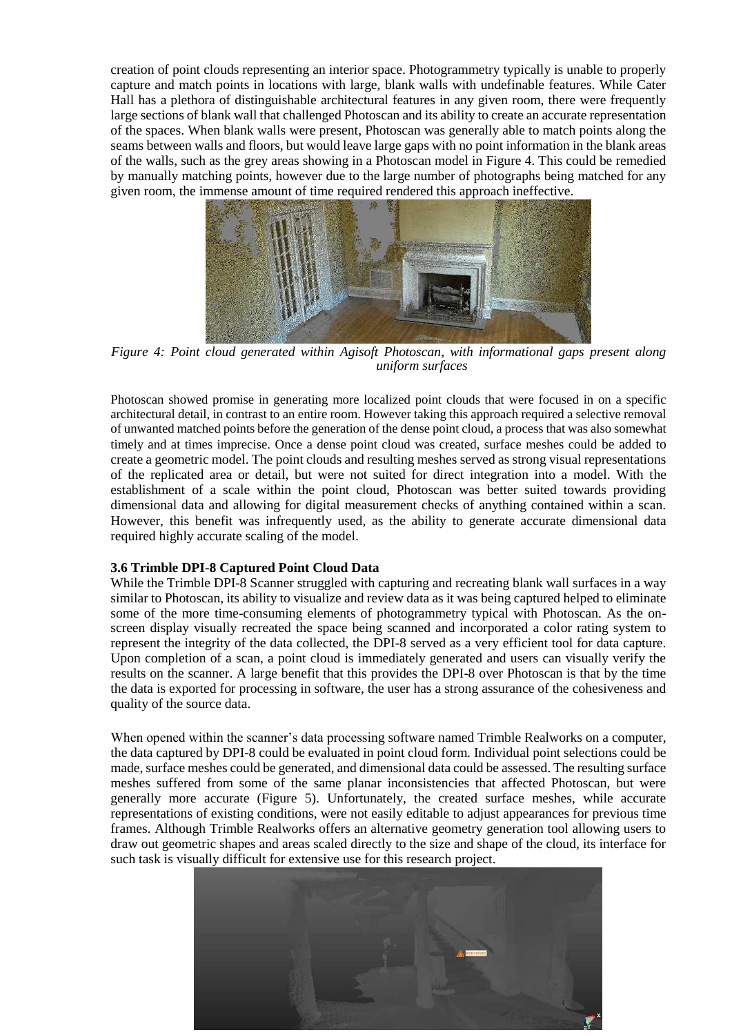creation of point clouds representing an interior space. Photogrammetry typically is unable to properly capture and match points in locations with large, blank walls with undefinable features. While Cater Hall has a plethora of distinguishable architectural features in any given room, there were frequently large sections of blank wall that challenged Photoscan and its ability to create an accurate representation of the spaces. When blank walls were present, Photoscan was generally able to match points along the seams between walls and floors, but would leave large gaps with no point information in the blank areas of the walls, such as the grey areas showing in a Photoscan model in Figure 4. This could be remedied by manually matching points, however due to the large number of photographs being matched for any given room, the immense amount of time required rendered this approach ineffective.



*Figure 4: Point cloud generated within Agisoft Photoscan, with informational gaps present along uniform surfaces*

Photoscan showed promise in generating more localized point clouds that were focused in on a specific architectural detail, in contrast to an entire room. However taking this approach required a selective removal of unwanted matched points before the generation of the dense point cloud, a process that was also somewhat timely and at times imprecise. Once a dense point cloud was created, surface meshes could be added to create a geometric model. The point clouds and resulting meshes served as strong visual representations of the replicated area or detail, but were not suited for direct integration into a model. With the establishment of a scale within the point cloud, Photoscan was better suited towards providing dimensional data and allowing for digital measurement checks of anything contained within a scan. However, this benefit was infrequently used, as the ability to generate accurate dimensional data required highly accurate scaling of the model.

#### **3.6 Trimble DPI-8 Captured Point Cloud Data**

While the Trimble DPI-8 Scanner struggled with capturing and recreating blank wall surfaces in a way similar to Photoscan, its ability to visualize and review data as it was being captured helped to eliminate some of the more time-consuming elements of photogrammetry typical with Photoscan. As the onscreen display visually recreated the space being scanned and incorporated a color rating system to represent the integrity of the data collected, the DPI-8 served as a very efficient tool for data capture. Upon completion of a scan, a point cloud is immediately generated and users can visually verify the results on the scanner. A large benefit that this provides the DPI-8 over Photoscan is that by the time the data is exported for processing in software, the user has a strong assurance of the cohesiveness and quality of the source data.

When opened within the scanner's data processing software named Trimble Realworks on a computer, the data captured by DPI-8 could be evaluated in point cloud form. Individual point selections could be made, surface meshes could be generated, and dimensional data could be assessed. The resulting surface meshes suffered from some of the same planar inconsistencies that affected Photoscan, but were generally more accurate (Figure 5). Unfortunately, the created surface meshes, while accurate representations of existing conditions, were not easily editable to adjust appearances for previous time frames. Although Trimble Realworks offers an alternative geometry generation tool allowing users to draw out geometric shapes and areas scaled directly to the size and shape of the cloud, its interface for such task is visually difficult for extensive use for this research project.

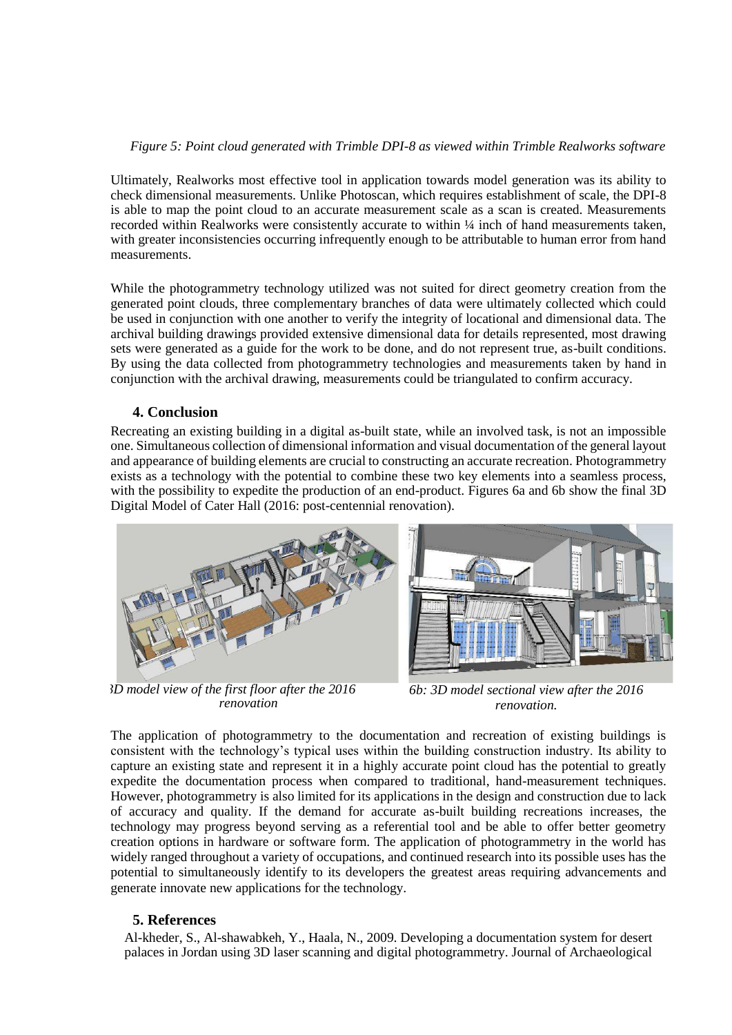### *Figure 5: Point cloud generated with Trimble DPI-8 as viewed within Trimble Realworks software*

Ultimately, Realworks most effective tool in application towards model generation was its ability to check dimensional measurements. Unlike Photoscan, which requires establishment of scale, the DPI-8 is able to map the point cloud to an accurate measurement scale as a scan is created. Measurements recorded within Realworks were consistently accurate to within ¼ inch of hand measurements taken, with greater inconsistencies occurring infrequently enough to be attributable to human error from hand measurements.

While the photogrammetry technology utilized was not suited for direct geometry creation from the generated point clouds, three complementary branches of data were ultimately collected which could be used in conjunction with one another to verify the integrity of locational and dimensional data. The archival building drawings provided extensive dimensional data for details represented, most drawing sets were generated as a guide for the work to be done, and do not represent true, as-built conditions. By using the data collected from photogrammetry technologies and measurements taken by hand in conjunction with the archival drawing, measurements could be triangulated to confirm accuracy.

## **4. Conclusion**

Recreating an existing building in a digital as-built state, while an involved task, is not an impossible one. Simultaneous collection of dimensional information and visual documentation of the general layout and appearance of building elements are crucial to constructing an accurate recreation. Photogrammetry exists as a technology with the potential to combine these two key elements into a seamless process, with the possibility to expedite the production of an end-product. Figures 6a and 6b show the final 3D Digital Model of Cater Hall (2016: post-centennial renovation).



*Figure 6a: 3D model view of the first floor after the 2016 renovation*



*6b: 3D model sectional view after the 2016 renovation.*

The application of photogrammetry to the documentation and recreation of existing buildings is consistent with the technology's typical uses within the building construction industry. Its ability to capture an existing state and represent it in a highly accurate point cloud has the potential to greatly expedite the documentation process when compared to traditional, hand-measurement techniques. However, photogrammetry is also limited for its applications in the design and construction due to lack of accuracy and quality. If the demand for accurate as-built building recreations increases, the technology may progress beyond serving as a referential tool and be able to offer better geometry creation options in hardware or software form. The application of photogrammetry in the world has widely ranged throughout a variety of occupations, and continued research into its possible uses has the potential to simultaneously identify to its developers the greatest areas requiring advancements and generate innovate new applications for the technology.

## **5. References**

Al-kheder, S., Al-shawabkeh, Y., Haala, N., 2009. Developing a documentation system for desert palaces in Jordan using 3D laser scanning and digital photogrammetry. Journal of Archaeological